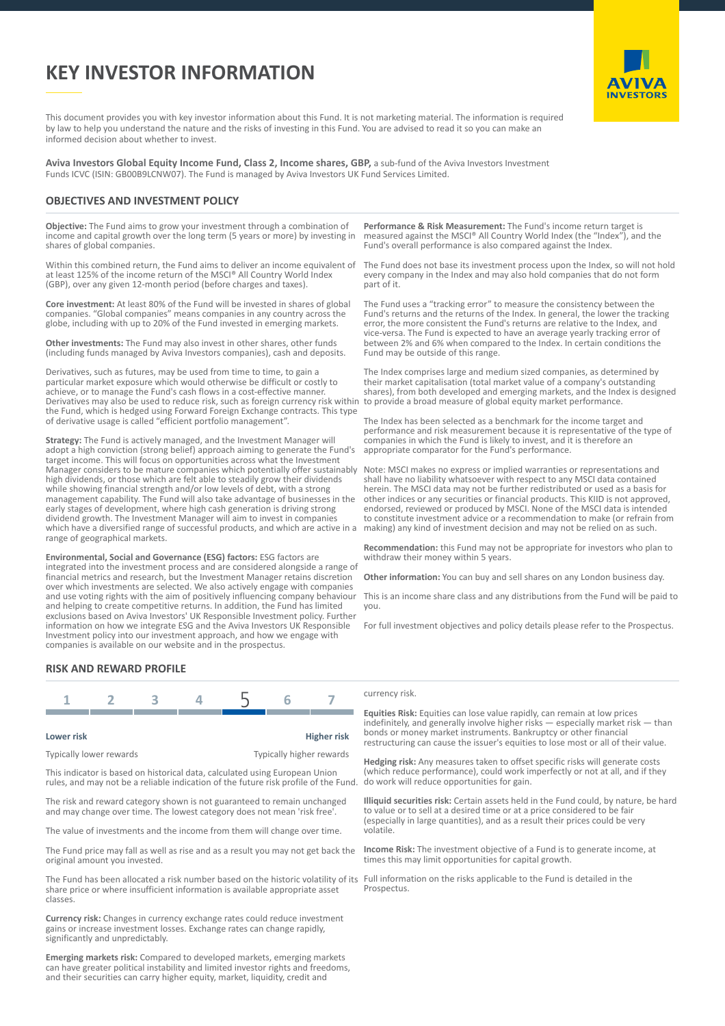# **KEY INVESTOR INFORMATION**



This document provides you with key investor information about this Fund. It is not marketing material. The information is required by law to help you understand the nature and the risks of investing in this Fund. You are advised to read it so you can make an informed decision about whether to invest.

**Aviva Investors Global Equity Income Fund, Class 2, Income shares, GBP,** a sub-fund of the Aviva Investors Investment Funds ICVC (ISIN: GB00B9LCNW07). The Fund is managed by Aviva Investors UK Fund Services Limited.

## **OBJECTIVES AND INVESTMENT POLICY**

**Objective:** The Fund aims to grow your investment through a combination of income and capital growth over the long term (5 years or more) by investing in shares of global companies.

Within this combined return, the Fund aims to deliver an income equivalent of at least 125% of the income return of the MSCI® All Country World Index (GBP), over any given 12-month period (before charges and taxes).

**Core investment:** At least 80% of the Fund will be invested in shares of global companies. "Global companies" means companies in any country across the globe, including with up to 20% of the Fund invested in emerging markets.

**Other investments:** The Fund may also invest in other shares, other funds (including funds managed by Aviva Investors companies), cash and deposits.

Derivatives, such as futures, may be used from time to time, to gain a particular market exposure which would otherwise be difficult or costly to achieve, or to manage the Fund's cash flows in a cost-effective manner. Derivatives may also be used to reduce risk, such as foreign currency risk within the Fund, which is hedged using Forward Foreign Exchange contracts. This type of derivative usage is called "efficient portfolio management".

**Strategy:** The Fund is actively managed, and the Investment Manager will adopt a high conviction (strong belief) approach aiming to generate the Fund's target income. This will focus on opportunities across what the Investment Manager considers to be mature companies which potentially offer sustainably high dividends, or those which are felt able to steadily grow their dividends while showing financial strength and/or low levels of debt, with a strong management capability. The Fund will also take advantage of businesses in the early stages of development, where high cash generation is driving strong dividend growth. The Investment Manager will aim to invest in companies which have a diversified range of successful products, and which are active in a range of geographical markets.

**Environmental, Social and Governance (ESG) factors:** ESG factors are integrated into the investment process and are considered alongside a range of financial metrics and research, but the Investment Manager retains discretion over which investments are selected. We also actively engage with companies and use voting rights with the aim of positively influencing company behaviour and helping to create competitive returns. In addition, the Fund has limited exclusions based on Aviva Investors' UK Responsible Investment policy. Further information on how we integrate ESG and the Aviva Investors UK Responsible Investment policy into our investment approach, and how we engage with companies is available on our website and in the prospectus.

**Performance & Risk Measurement:** The Fund's income return target is measured against the MSCI® All Country World Index (the "Index"), and the Fund's overall performance is also compared against the Index.

The Fund does not base its investment process upon the Index, so will not hold every company in the Index and may also hold companies that do not form part of it.

The Fund uses a "tracking error" to measure the consistency between the Fund's returns and the returns of the Index. In general, the lower the tracking error, the more consistent the Fund's returns are relative to the Index, and vice-versa. The Fund is expected to have an average yearly tracking error of between 2% and 6% when compared to the Index. In certain conditions the Fund may be outside of this range.

The Index comprises large and medium sized companies, as determined by their market capitalisation (total market value of a company's outstanding shares), from both developed and emerging markets, and the Index is designed to provide a broad measure of global equity market performance.

The Index has been selected as a benchmark for the income target and performance and risk measurement because it is representative of the type of companies in which the Fund is likely to invest, and it is therefore an appropriate comparator for the Fund's performance.

Note: MSCI makes no express or implied warranties or representations and shall have no liability whatsoever with respect to any MSCI data contained herein. The MSCI data may not be further redistributed or used as a basis for other indices or any securities or financial products. This KIID is not approved, endorsed, reviewed or produced by MSCI. None of the MSCI data is intended to constitute investment advice or a recommendation to make (or refrain from making) any kind of investment decision and may not be relied on as such.

**Recommendation:** this Fund may not be appropriate for investors who plan to withdraw their money within 5 years.

**Other information:** You can buy and sell shares on any London business day.

This is an income share class and any distributions from the Fund will be paid to you.

For full investment objectives and policy details please refer to the Prospectus.

## **RISK AND REWARD PROFILE**



#### Typically lower rewards Typically higher rewards

This indicator is based on historical data, calculated using European Union rules, and may not be a reliable indication of the future risk profile of the Fund.

The risk and reward category shown is not guaranteed to remain unchanged and may change over time. The lowest category does not mean 'risk free'.

The value of investments and the income from them will change over time.

The Fund price may fall as well as rise and as a result you may not get back the original amount you invested.

The Fund has been allocated a risk number based on the historic volatility of its share price or where insufficient information is available appropriate asset classes.

**Currency risk:** Changes in currency exchange rates could reduce investment gains or increase investment losses. Exchange rates can change rapidly, significantly and unpredictably.

**Emerging markets risk:** Compared to developed markets, emerging markets can have greater political instability and limited investor rights and freedoms, and their securities can carry higher equity, market, liquidity, credit and

#### currency risk.

**Equities Risk:** Equities can lose value rapidly, can remain at low prices indefinitely, and generally involve higher risks — especially market risk — than bonds or money market instruments. Bankruptcy or other financial restructuring can cause the issuer's equities to lose most or all of their value.

**Hedging risk:** Any measures taken to offset specific risks will generate costs (which reduce performance), could work imperfectly or not at all, and if they do work will reduce opportunities for gain.

**Illiquid securities risk:** Certain assets held in the Fund could, by nature, be hard to value or to sell at a desired time or at a price considered to be fair (especially in large quantities), and as a result their prices could be very volatile.

**Income Risk:** The investment objective of a Fund is to generate income, at times this may limit opportunities for capital growth.

Full information on the risks applicable to the Fund is detailed in the Prospectus.